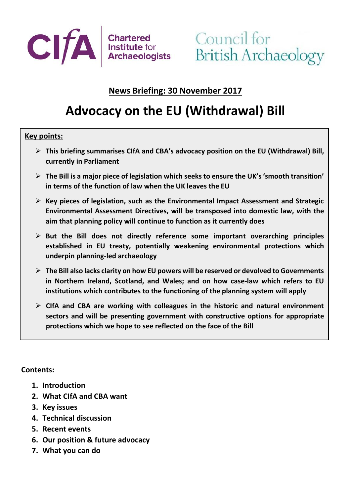

# **News Briefing: 30 November 2017**

# **Advocacy on the EU (Withdrawal) Bill**

#### **Key points:**

- ➢ **This briefing summarises CIfA and CBA's advocacy position on the EU (Withdrawal) Bill, currently in Parliament**
- ➢ **The Bill is a major piece of legislation which seeks to ensure the UK's 'smooth transition' in terms of the function of law when the UK leaves the EU**
- ➢ **Key pieces of legislation, such as the Environmental Impact Assessment and Strategic Environmental Assessment Directives, will be transposed into domestic law, with the aim that planning policy will continue to function as it currently does**
- ➢ **But the Bill does not directly reference some important overarching principles established in EU treaty, potentially weakening environmental protections which underpin planning-led archaeology**
- ➢ **The Bill also lacks clarity on how EU powers will be reserved or devolved to Governments in Northern Ireland, Scotland, and Wales; and on how case-law which refers to EU institutions which contributes to the functioning of the planning system will apply**
- ➢ **CIfA and CBA are working with colleagues in the historic and natural environment sectors and will be presenting government with constructive options for appropriate protections which we hope to see reflected on the face of the Bill**

#### **Contents:**

- **1. Introduction**
- **2. What CIfA and CBA want**
- **3. Key issues**
- **4. Technical discussion**
- **5. Recent events**
- **6. Our position & future advocacy**
- **7. What you can do**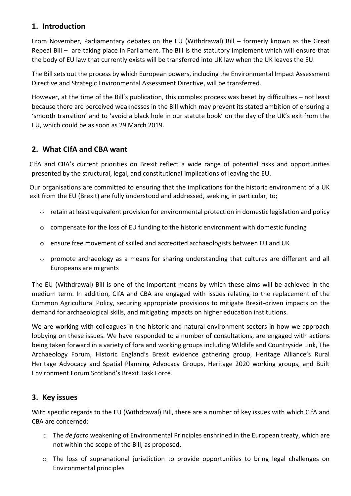#### **1. Introduction**

From November, Parliamentary debates on the EU (Withdrawal) Bill – formerly known as the Great Repeal Bill – are taking place in Parliament. The Bill is the statutory implement which will ensure that the body of EU law that currently exists will be transferred into UK law when the UK leaves the EU.

The Bill sets out the process by which European powers, including the Environmental Impact Assessment Directive and Strategic Environmental Assessment Directive, will be transferred.

However, at the time of the Bill's publication, this complex process was beset by difficulties – not least because there are perceived weaknesses in the Bill which may prevent its stated ambition of ensuring a 'smooth transition' and to 'avoid a black hole in our statute book' on the day of the UK's exit from the EU, which could be as soon as 29 March 2019.

#### **2. What CIfA and CBA want**

CIfA and CBA's current priorities on Brexit reflect a wide range of potential risks and opportunities presented by the structural, legal, and constitutional implications of leaving the EU.

Our organisations are committed to ensuring that the implications for the historic environment of a UK exit from the EU (Brexit) are fully understood and addressed, seeking, in particular, to;

- $\circ$  retain at least equivalent provision for environmental protection in domestic legislation and policy
- o compensate for the loss of EU funding to the historic environment with domestic funding
- o ensure free movement of skilled and accredited archaeologists between EU and UK
- o promote archaeology as a means for sharing understanding that cultures are different and all Europeans are migrants

The EU (Withdrawal) Bill is one of the important means by which these aims will be achieved in the medium term. In addition, CIfA and CBA are engaged with issues relating to the replacement of the Common Agricultural Policy, securing appropriate provisions to mitigate Brexit-driven impacts on the demand for archaeological skills, and mitigating impacts on higher education institutions.

We are working with colleagues in the historic and natural environment sectors in how we approach lobbying on these issues. We have responded to a number of consultations, are engaged with actions being taken forward in a variety of fora and working groups including Wildlife and Countryside Link, The Archaeology Forum, Historic England's Brexit evidence gathering group, Heritage Alliance's Rural Heritage Advocacy and Spatial Planning Advocacy Groups, Heritage 2020 working groups, and Built Environment Forum Scotland's Brexit Task Force.

#### **3. Key issues**

With specific regards to the EU (Withdrawal) Bill, there are a number of key issues with which CIfA and CBA are concerned:

- o The *de facto* weakening of Environmental Principles enshrined in the European treaty, which are not within the scope of the Bill, as proposed,
- o The loss of supranational jurisdiction to provide opportunities to bring legal challenges on Environmental principles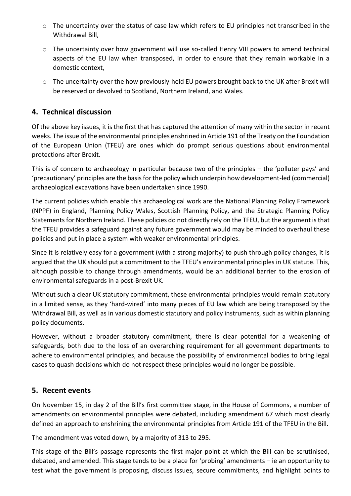- o The uncertainty over the status of case law which refers to EU principles not transcribed in the Withdrawal Bill,
- $\circ$  The uncertainty over how government will use so-called Henry VIII powers to amend technical aspects of the EU law when transposed, in order to ensure that they remain workable in a domestic context,
- o The uncertainty over the how previously-held EU powers brought back to the UK after Brexit will be reserved or devolved to Scotland, Northern Ireland, and Wales.

#### **4. Technical discussion**

Of the above key issues, it is the first that has captured the attention of many within the sector in recent weeks. The issue of the environmental principles enshrined in Article 191 of the Treaty on the Foundation of the European Union (TFEU) are ones which do prompt serious questions about environmental protections after Brexit.

This is of concern to archaeology in particular because two of the principles – the 'polluter pays' and 'precautionary' principles are the basis for the policy which underpin how development-led (commercial) archaeological excavations have been undertaken since 1990.

The current policies which enable this archaeological work are the National Planning Policy Framework (NPPF) in England, Planning Policy Wales, Scottish Planning Policy, and the Strategic Planning Policy Statements for Northern Ireland. These policies do not directly rely on the TFEU, but the argument is that the TFEU provides a safeguard against any future government would may be minded to overhaul these policies and put in place a system with weaker environmental principles.

Since it is relatively easy for a government (with a strong majority) to push through policy changes, it is argued that the UK should put a commitment to the TFEU's environmental principles in UK statute. This, although possible to change through amendments, would be an additional barrier to the erosion of environmental safeguards in a post-Brexit UK.

Without such a clear UK statutory commitment, these environmental principles would remain statutory in a limited sense, as they 'hard-wired' into many pieces of EU law which are being transposed by the Withdrawal Bill, as well as in various domestic statutory and policy instruments, such as within planning policy documents.

However, without a broader statutory commitment, there is clear potential for a weakening of safeguards, both due to the loss of an overarching requirement for all government departments to adhere to environmental principles, and because the possibility of environmental bodies to bring legal cases to quash decisions which do not respect these principles would no longer be possible.

#### **5. Recent events**

On November 15, in day 2 of the Bill's first committee stage, in the House of Commons, a number of amendments on environmental principles were debated, including amendment 67 which most clearly defined an approach to enshrining the environmental principles from Article 191 of the TFEU in the Bill.

The amendment was voted down, by a majority of 313 to 295.

This stage of the Bill's passage represents the first major point at which the Bill can be scrutinised, debated, and amended. This stage tends to be a place for 'probing' amendments – ie an opportunity to test what the government is proposing, discuss issues, secure commitments, and highlight points to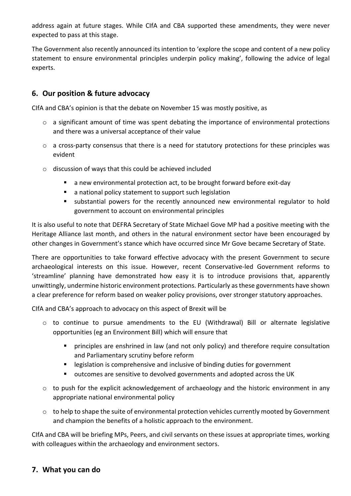address again at future stages. While CIfA and CBA supported these amendments, they were never expected to pass at this stage.

The Government also recently announced its intention to 'explore the scope and content of a new policy statement to ensure environmental principles underpin policy making', following the advice of legal experts.

### **6. Our position & future advocacy**

CIfA and CBA's opinion is that the debate on November 15 was mostly positive, as

- o a significant amount of time was spent debating the importance of environmental protections and there was a universal acceptance of their value
- o a cross-party consensus that there is a need for statutory protections for these principles was evident
- o discussion of ways that this could be achieved included
	- a new environmental protection act, to be brought forward before exit-day
	- a national policy statement to support such legislation
	- substantial powers for the recently announced new environmental regulator to hold government to account on environmental principles

It is also useful to note that DEFRA Secretary of State Michael Gove MP had a positive meeting with the Heritage Alliance last month, and others in the natural environment sector have been encouraged by other changes in Government's stance which have occurred since Mr Gove became Secretary of State.

There are opportunities to take forward effective advocacy with the present Government to secure archaeological interests on this issue. However, recent Conservative-led Government reforms to 'streamline' planning have demonstrated how easy it is to introduce provisions that, apparently unwittingly, undermine historic environment protections. Particularly as these governments have shown a clear preference for reform based on weaker policy provisions, over stronger statutory approaches.

CIfA and CBA's approach to advocacy on this aspect of Brexit will be

- o to continue to pursue amendments to the EU (Withdrawal) Bill or alternate legislative opportunities (eg an Environment Bill) which will ensure that
	- **E** principles are enshrined in law (and not only policy) and therefore require consultation and Parliamentary scrutiny before reform
	- legislation is comprehensive and inclusive of binding duties for government
	- outcomes are sensitive to devolved governments and adopted across the UK
- $\circ$  to push for the explicit acknowledgement of archaeology and the historic environment in any appropriate national environmental policy
- $\circ$  to help to shape the suite of environmental protection vehicles currently mooted by Government and champion the benefits of a holistic approach to the environment.

CIfA and CBA will be briefing MPs, Peers, and civil servants on these issues at appropriate times, working with colleagues within the archaeology and environment sectors.

#### **7. What you can do**